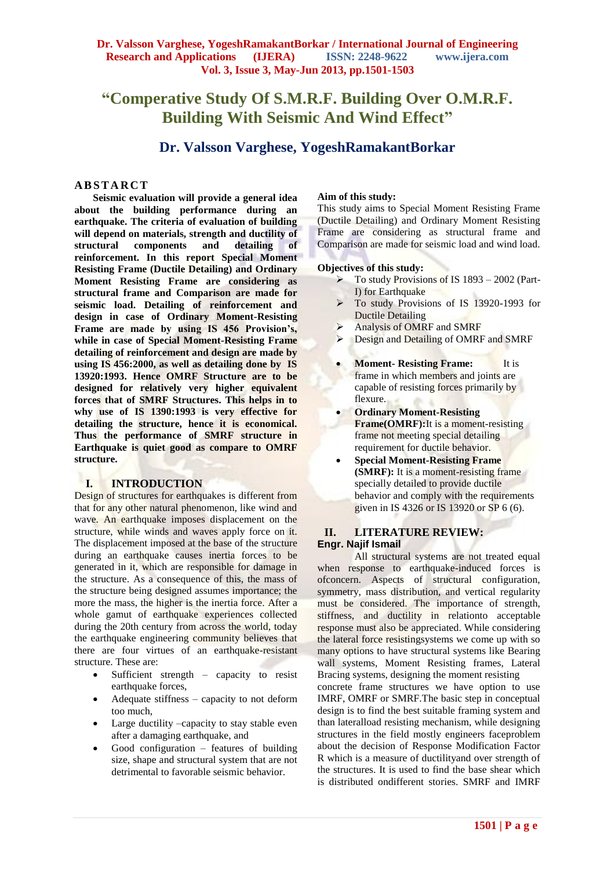## **Dr. Valsson Varghese, YogeshRamakantBorkar / International Journal of Engineering Research and Applications (IJERA) ISSN: 2248-9622 www.ijera.com Vol. 3, Issue 3, May-Jun 2013, pp.1501-1503**

# **"Comperative Study Of S.M.R.F. Building Over O.M.R.F. Building With Seismic And Wind Effect"**

## **Dr. Valsson Varghese, YogeshRamakantBorkar**

### **A B S T A R C T**

**Seismic evaluation will provide a general idea about the building performance during an earthquake. The criteria of evaluation of building will depend on materials, strength and ductility of structural components and detailing of reinforcement. In this report Special Moment Resisting Frame (Ductile Detailing) and Ordinary Moment Resisting Frame are considering as structural frame and Comparison are made for seismic load. Detailing of reinforcement and design in case of Ordinary Moment-Resisting Frame are made by using IS 456 Provision's, while in case of Special Moment-Resisting Frame detailing of reinforcement and design are made by using IS 456:2000, as well as detailing done by IS 13920:1993. Hence OMRF Structure are to be designed for relatively very higher equivalent forces that of SMRF Structures. This helps in to why use of IS 1390:1993 is very effective for detailing the structure, hence it is economical. Thus the performance of SMRF structure in Earthquake is quiet good as compare to OMRF structure.**

#### **I. INTRODUCTION**

Design of structures for earthquakes is different from that for any other natural phenomenon, like wind and wave. An earthquake imposes displacement on the structure, while winds and waves apply force on it. The displacement imposed at the base of the structure during an earthquake causes inertia forces to be generated in it, which are responsible for damage in the structure. As a consequence of this, the mass of the structure being designed assumes importance; the more the mass, the higher is the inertia force. After a whole gamut of earthquake experiences collected during the 20th century from across the world, today the earthquake engineering community believes that there are four virtues of an earthquake-resistant structure. These are:

- Sufficient strength capacity to resist earthquake forces,
- Adequate stiffness capacity to not deform too much,
- Large ductility –capacity to stay stable even after a damaging earthquake, and
- Good configuration features of building size, shape and structural system that are not detrimental to favorable seismic behavior.

#### **Aim of this study:**

This study aims to Special Moment Resisting Frame (Ductile Detailing) and Ordinary Moment Resisting Frame are considering as structural frame and Comparison are made for seismic load and wind load.

#### **Objectives of this study:**

- $\triangleright$  To study Provisions of IS 1893 2002 (Part-I) for Earthquake
- To study Provisions of IS 13920-1993 for Ductile Detailing
- $\triangleright$  Analysis of OMRF and SMRF
- **Design and Detailing of OMRF and SMRF**
- **Moment-Resisting Frame:** It is frame in which members and joints are capable of resisting forces primarily by flexure.
- **Ordinary Moment-Resisting Frame(OMRF):**It is a moment-resisting frame not meeting special detailing requirement for ductile behavior.
- **Special Moment-Resisting Frame (SMRF):** It is a moment-resisting frame specially detailed to provide ductile behavior and comply with the requirements given in IS 4326 or IS 13920 or SP 6 (6).

### **II. LITERATURE REVIEW: Engr. Najif Ismail**

All structural systems are not treated equal when response to earthquake-induced forces is ofconcern. Aspects of structural configuration, symmetry, mass distribution, and vertical regularity must be considered. The importance of strength, stiffness, and ductility in relationto acceptable response must also be appreciated. While considering the lateral force resistingsystems we come up with so many options to have structural systems like Bearing wall systems, Moment Resisting frames, Lateral Bracing systems, designing the moment resisting concrete frame structures we have option to use IMRF, OMRF or SMRF.The basic step in conceptual design is to find the best suitable framing system and than lateralload resisting mechanism, while designing structures in the field mostly engineers faceproblem about the decision of Response Modification Factor R which is a measure of ductilityand over strength of the structures. It is used to find the base shear which is distributed ondifferent stories. SMRF and IMRF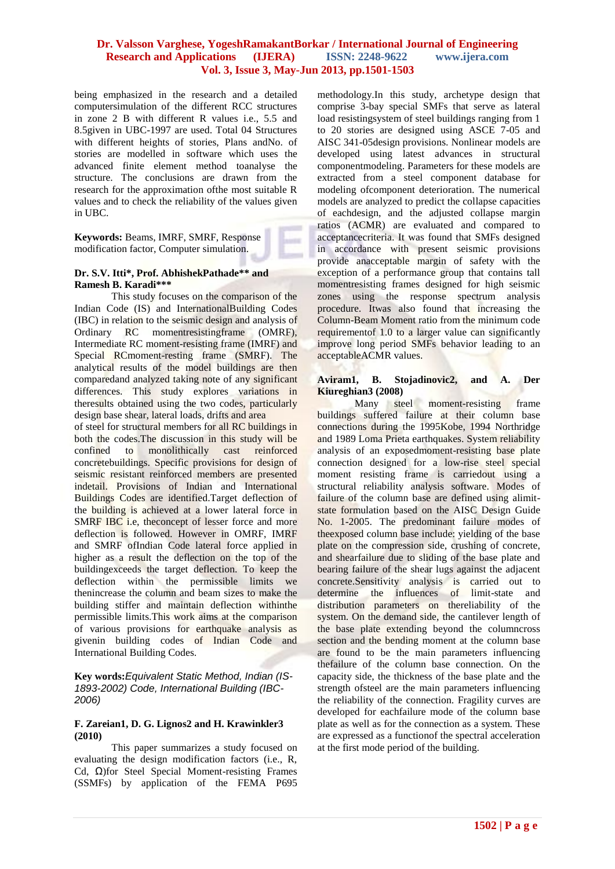## **Dr. Valsson Varghese, YogeshRamakantBorkar / International Journal of Engineering Research and Applications (IJERA) ISSN: 2248-9622 www.ijera.com Vol. 3, Issue 3, May-Jun 2013, pp.1501-1503**

being emphasized in the research and a detailed computersimulation of the different RCC structures in zone 2 B with different R values i.e., 5.5 and 8.5given in UBC-1997 are used. Total 04 Structures with different heights of stories, Plans andNo. of stories are modelled in software which uses the advanced finite element method toanalyse the structure. The conclusions are drawn from the research for the approximation ofthe most suitable R values and to check the reliability of the values given in UBC.

**Keywords:** Beams, IMRF, SMRF, Response modification factor, Computer simulation.

#### **Dr. S.V. Itti\*, Prof. AbhishekPathade\*\* and Ramesh B. Karadi\*\*\***

This study focuses on the comparison of the Indian Code (IS) and InternationalBuilding Codes (IBC) in relation to the seismic design and analysis of Ordinary RC momentresistingframe (OMRF), Intermediate RC moment-resisting frame (IMRF) and Special RCmoment-resting frame (SMRF). The analytical results of the model buildings are then comparedand analyzed taking note of any significant differences. This study explores variations in theresults obtained using the two codes, particularly design base shear, lateral loads, drifts and area

of steel for structural members for all RC buildings in both the codes.The discussion in this study will be confined to monolithically cast reinforced concretebuildings. Specific provisions for design of seismic resistant reinforced members are presented indetail. Provisions of Indian and International Buildings Codes are identified.Target deflection of the building is achieved at a lower lateral force in SMRF IBC i.e, the concept of lesser force and more deflection is followed. However in OMRF, IMRF and SMRF ofIndian Code lateral force applied in higher as a result the deflection on the top of the buildingexceeds the target deflection. To keep the deflection within the permissible limits we thenincrease the column and beam sizes to make the building stiffer and maintain deflection withinthe permissible limits.This work aims at the comparison of various provisions for earthquake analysis as givenin building codes of Indian Code and International Building Codes.

**Key words:***Equivalent Static Method, Indian (IS-1893-2002) Code, International Building (IBC-2006)*

#### **F. Zareian1, D. G. Lignos2 and H. Krawinkler3 (2010)**

This paper summarizes a study focused on evaluating the design modification factors (i.e., R, Cd, Ω)for Steel Special Moment-resisting Frames (SSMFs) by application of the FEMA P695

methodology.In this study, archetype design that comprise 3-bay special SMFs that serve as lateral load resistingsystem of steel buildings ranging from 1 to 20 stories are designed using ASCE 7-05 and AISC 341-05design provisions. Nonlinear models are developed using latest advances in structural componentmodeling. Parameters for these models are extracted from a steel component database for modeling ofcomponent deterioration. The numerical models are analyzed to predict the collapse capacities of eachdesign, and the adjusted collapse margin ratios (ACMR) are evaluated and compared to acceptancecriteria. It was found that SMFs designed in accordance with present seismic provisions provide anacceptable margin of safety with the exception of a performance group that contains tall momentresisting frames designed for high seismic zones using the response spectrum analysis procedure. Itwas also found that increasing the Column-Beam Moment ratio from the minimum code requirementof 1.0 to a larger value can significantly improve long period SMFs behavior leading to an acceptableACMR values.

#### **Aviram1, B. Stojadinovic2, and A. Der Kiureghian3 (2008)**

Many steel moment-resisting frame buildings suffered failure at their column base connections during the 1995Kobe, 1994 Northridge and 1989 Loma Prieta earthquakes. System reliability analysis of an exposedmoment-resisting base plate connection designed for a low-rise steel special moment resisting frame is carriedout using a structural reliability analysis software. Modes of failure of the column base are defined using alimitstate formulation based on the AISC Design Guide No. 1-2005. The predominant failure modes of theexposed column base include: yielding of the base plate on the compression side, crushing of concrete, and shearfailure due to sliding of the base plate and bearing failure of the shear lugs against the adjacent concrete.Sensitivity analysis is carried out to determine the influences of limit-state and distribution parameters on thereliability of the system. On the demand side, the cantilever length of the base plate extending beyond the columncross section and the bending moment at the column base are found to be the main parameters influencing thefailure of the column base connection. On the capacity side, the thickness of the base plate and the strength ofsteel are the main parameters influencing the reliability of the connection. Fragility curves are developed for eachfailure mode of the column base plate as well as for the connection as a system. These are expressed as a functionof the spectral acceleration at the first mode period of the building.